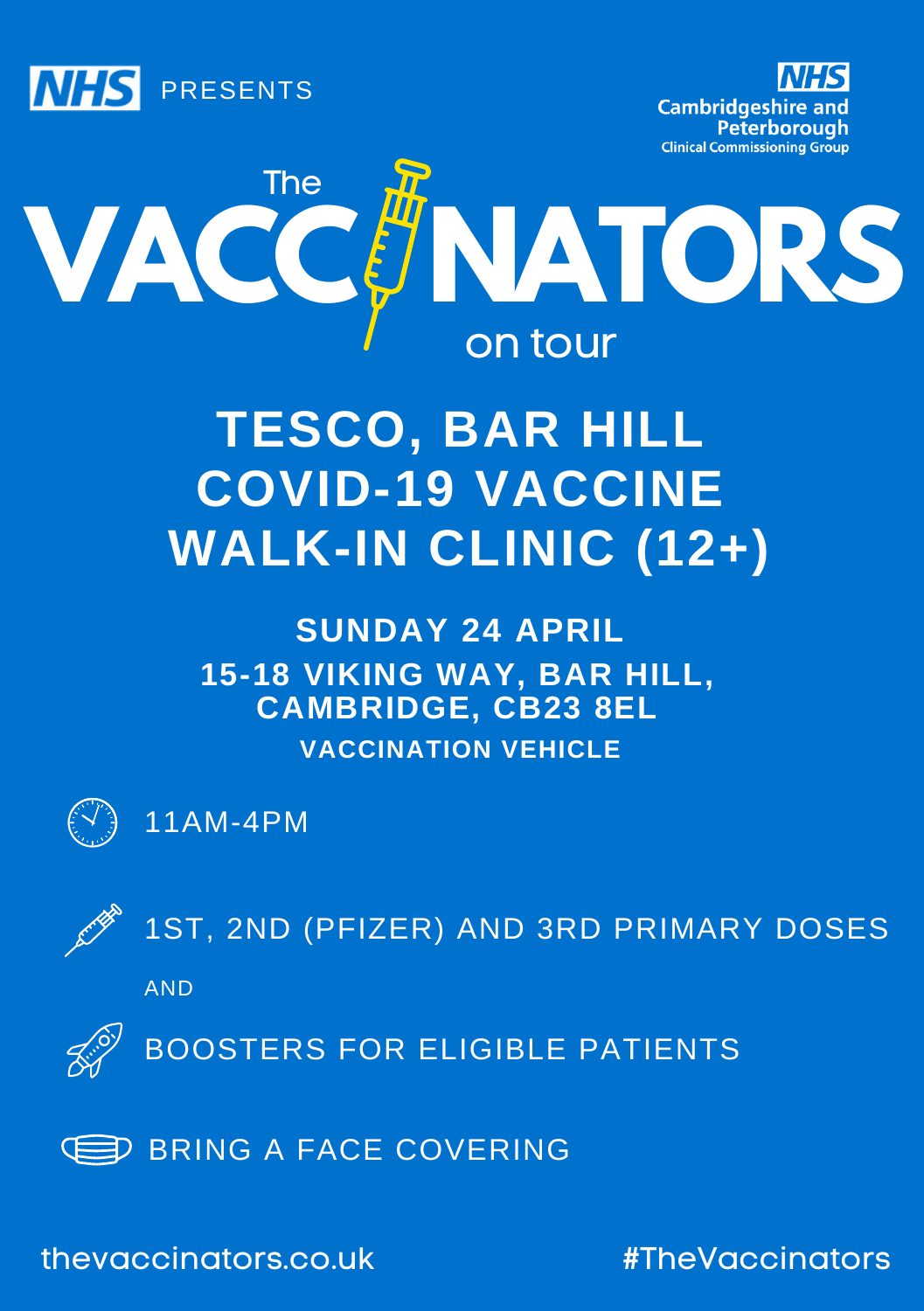





# **TESCO, BAR HILL COVID-19 VACCINE WALK-IN CLINIC (12+)**

**15-18 VIKING WAY, BAR HILL, CAMBRIDGE, CB23 8EL SUNDAY 24 APRIL VACCINATION VEHICLE**



11AM-4PM



1ST, 2ND (PFIZER) AND 3RD PRIMARY DOSES

AND



BOOSTERS FOR ELIGIBLE PATIENTS



thevaccinators.co.uk #TheVaccinators